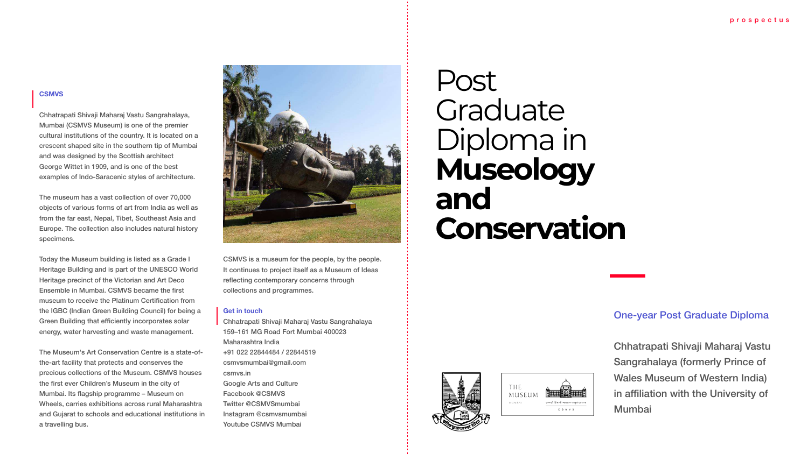### **CSMVS**

Chhatrapati Shivaji Maharaj Vastu Sangrahalaya, Mumbai (CSMVS Museum) is one of the premier cultural institutions of the country. It is located on a crescent shaped site in the southern tip of Mumbai and was designed by the Scottish architect George Wittet in 1909, and is one of the best examples of Indo-Saracenic styles of architecture.

The museum has a vast collection of over 70,000 objects of various forms of art from India as well as from the far east, Nepal, Tibet, Southeast Asia and Europe. The collection also includes natural history specimens.

Today the Museum building is listed as a Grade I Heritage Building and is part of the UNESCO World Heritage precinct of the Victorian and Art Deco Ensemble in Mumbai, CSMVS became the first museum to receive the Platinum Certification from the IGBC (Indian Green Building Council) for being a Green Building that efficiently incorporates solar energy, water harvesting and waste management.

The Museum's Art Conservation Centre is a state-ofthe-art facility that protects and conserves the precious collections of the Museum. CSMVS houses the first ever Children's Museum in the city of Mumbai. Its flagship programme - Museum on Wheels, carries exhibitions across rural Maharashtra and Gujarat to schools and educational institutions in a travelling bus.



CSMVS is a museum for the people, by the people. It continues to project itself as a Museum of Ideas reflecting contemporary concerns through collections and programmes.

### **Get in touch**

Chhatrapati Shivaji Maharaj Vastu Sangrahalaya 159-161 MG Road Fort Mumbai 400023 Maharashtra India +91 022 22844484 / 22844519 csmvsmumbai@gmail.com csmvs.in **Google Arts and Culture** Facebook @CSMVS Twitter @CSMVSmumbai Instagram @csmvsmumbai Youtube CSMVS Mumbai

# Post Graduate Diploma in<br>Museology and Conservation





### **One-year Post Graduate Diploma**

Chhatrapati Shivaji Maharaj Vastu **Sangrahalaya (formerly Prince of Wales Museum of Western India)** in affiliation with the University of **Mumbai**